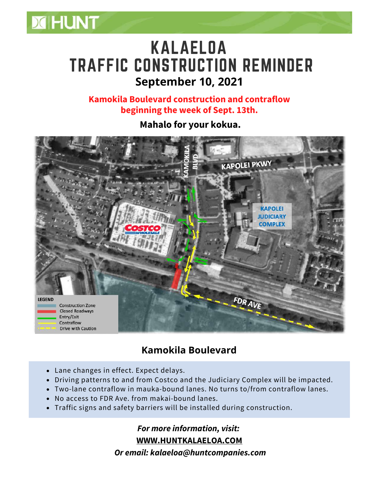

## KALAELOA TRAFFIC CONSTRUCTION REMINDER **September 10, 2021**

**Kamokila Boulevard construction and contraflow beginning the week of Sept. 13th.**

**Mahalo for your kokua.**



## **Kamokila Boulevard**

- Lane changes in effect. Expect delays.
- Driving patterns to and from Costco and the Judiciary Complex will be impacted.
- Two-lane contraflow in mauka-bound lanes. No turns to/from contraflow lanes.
- No access to FDR Ave. from makai-bound lanes.
- Traffic signs and safety barriers will be installed during construction.

*For more information, visit:* **WWW.[HUNTKALAELOA.COM](https://www.huntkalaeloa.com/)**

*Or email: kalaeloa@huntcompanies.com*